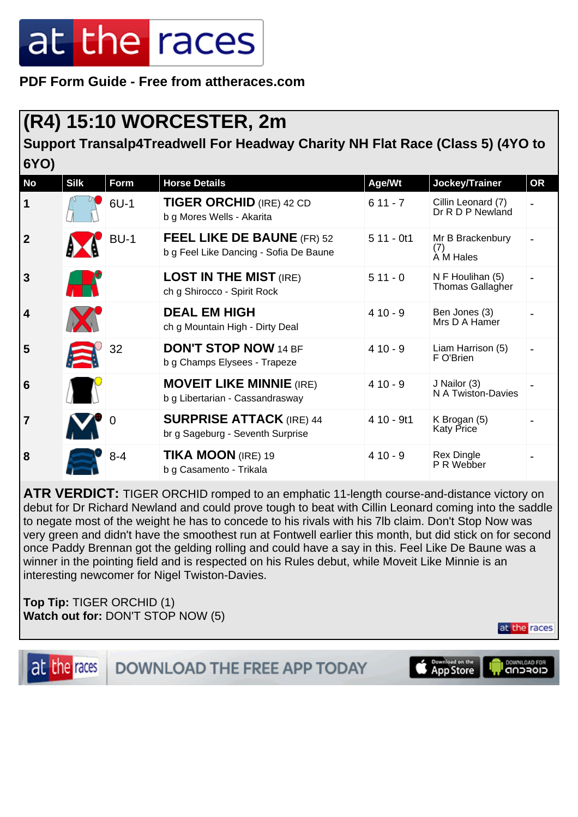**PDF Form Guide - Free from attheraces.com**

#### **(R4) 15:10 WORCESTER, 2m**

**Support Transalp4Treadwell For Headway Charity NH Flat Race (Class 5) (4YO to 6YO)**

| <b>No</b>               | <b>Silk</b> | Form        | <b>Horse Details</b>                                                        | Age/Wt      | Jockey/Trainer                         | <b>OR</b> |
|-------------------------|-------------|-------------|-----------------------------------------------------------------------------|-------------|----------------------------------------|-----------|
| $\mathbf 1$             |             | $6U-1$      | <b>TIGER ORCHID (IRE) 42 CD</b><br>b g Mores Wells - Akarita                | $611 - 7$   | Cillin Leonard (7)<br>Dr R D P Newland |           |
| $\overline{2}$          |             | <b>BU-1</b> | <b>FEEL LIKE DE BAUNE (FR) 52</b><br>b g Feel Like Dancing - Sofia De Baune | $511 - 0t1$ | Mr B Brackenbury<br>(7)<br>À M Hales   |           |
| $\overline{3}$          |             |             | <b>LOST IN THE MIST (IRE)</b><br>ch g Shirocco - Spirit Rock                | $511 - 0$   | N F Houlihan (5)<br>Thomas Gallagher   |           |
| $\overline{\mathbf{4}}$ |             |             | <b>DEAL EM HIGH</b><br>ch g Mountain High - Dirty Deal                      | $410 - 9$   | Ben Jones (3)<br>Mrs D A Hamer         |           |
| 5                       |             | 32          | <b>DON'T STOP NOW 14 BF</b><br>b g Champs Elysees - Trapeze                 | $410 - 9$   | Liam Harrison (5)<br>F O'Brien         |           |
| $6\phantom{1}6$         |             |             | <b>MOVEIT LIKE MINNIE (IRE)</b><br>b g Libertarian - Cassandrasway          | $410 - 9$   | J Nailor (3)<br>N A Twiston-Davies     |           |
| $\overline{7}$          |             |             | <b>SURPRISE ATTACK (IRE) 44</b><br>br g Sageburg - Seventh Surprise         | $410 - 9t1$ | K Brogan (5)<br>Katy Price             |           |
| 8                       |             | $8 - 4$     | <b>TIKA MOON</b> (IRE) 19<br>b g Casamento - Trikala                        | $410 - 9$   | <b>Rex Dingle</b><br>P R Webber        |           |

**ATR VERDICT:** TIGER ORCHID romped to an emphatic 11-length course-and-distance victory on debut for Dr Richard Newland and could prove tough to beat with Cillin Leonard coming into the saddle to negate most of the weight he has to concede to his rivals with his 7lb claim. Don't Stop Now was very green and didn't have the smoothest run at Fontwell earlier this month, but did stick on for second once Paddy Brennan got the gelding rolling and could have a say in this. Feel Like De Baune was a winner in the pointing field and is respected on his Rules debut, while Moveit Like Minnie is an interesting newcomer for Nigel Twiston-Davies.

**Top Tip:** TIGER ORCHID (1) **Watch out for:** DON'T STOP NOW (5)



at the races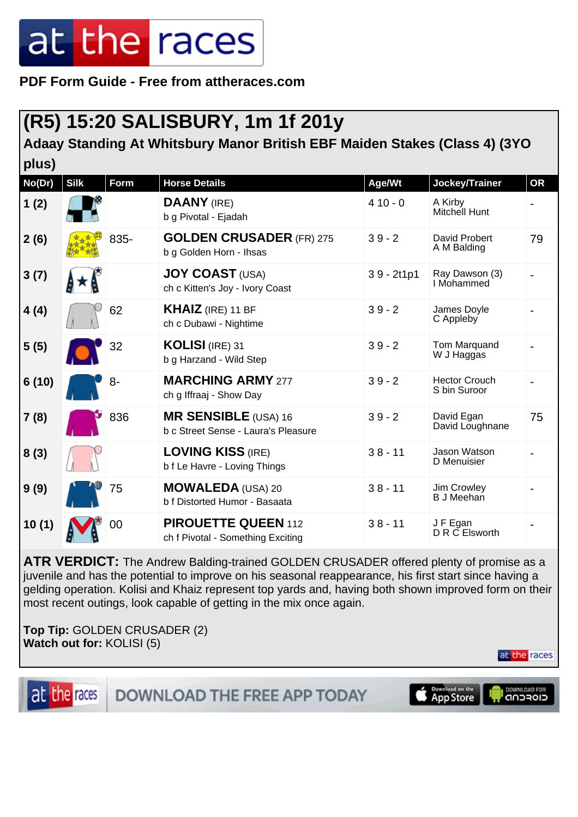**PDF Form Guide - Free from attheraces.com**

#### **(R5) 15:20 SALISBURY, 1m 1f 201y**

#### **Adaay Standing At Whitsbury Manor British EBF Maiden Stakes (Class 4) (3YO**

| plus)  |             |             |                                                                    |              |                                      |           |
|--------|-------------|-------------|--------------------------------------------------------------------|--------------|--------------------------------------|-----------|
| No(Dr) | <b>Silk</b> | <b>Form</b> | <b>Horse Details</b>                                               | Age/Wt       | Jockey/Trainer                       | <b>OR</b> |
| 1(2)   |             |             | <b>DAANY</b> (IRE)<br>b g Pivotal - Ejadah                         | $410 - 0$    | A Kirby<br>Mitchell Hunt             |           |
| 2(6)   |             | 835-        | <b>GOLDEN CRUSADER (FR) 275</b><br>b g Golden Horn - Ihsas         | $39 - 2$     | David Probert<br>A M Balding         | 79        |
| 3(7)   |             |             | <b>JOY COAST (USA)</b><br>ch c Kitten's Joy - Ivory Coast          | $39 - 2t1p1$ | Ray Dawson (3)<br>I Mohammed         |           |
| 4(4)   |             | 62          | <b>KHAIZ</b> (IRE) 11 BF<br>ch c Dubawi - Nightime                 | $39 - 2$     | James Doyle<br>C Appleby             |           |
| 5(5)   |             | 32          | KOLISI (IRE) 31<br>b g Harzand - Wild Step                         | $39 - 2$     | Tom Marquand<br>W J Haggas           |           |
| 6(10)  |             | $8-$        | <b>MARCHING ARMY 277</b><br>ch g Iffraaj - Show Day                | $39 - 2$     | <b>Hector Crouch</b><br>S bin Suroor |           |
| 7(8)   |             | 836         | <b>MR SENSIBLE</b> (USA) 16<br>b c Street Sense - Laura's Pleasure | $39 - 2$     | David Egan<br>David Loughnane        | 75        |
| 8(3)   |             |             | <b>LOVING KISS (IRE)</b><br>b f Le Havre - Loving Things           | $38 - 11$    | Jason Watson<br>D Menuisier          |           |
| 9(9)   |             | 75          | <b>MOWALEDA</b> (USA) 20<br>b f Distorted Humor - Basaata          | $38 - 11$    | Jim Crowley<br><b>B</b> J Meehan     |           |
| 10(1)  |             | 00          | <b>PIROUETTE QUEEN 112</b><br>ch f Pivotal - Something Exciting    | $38 - 11$    | JF Egan<br>D R C Elsworth            |           |

**ATR VERDICT:** The Andrew Balding-trained GOLDEN CRUSADER offered plenty of promise as a juvenile and has the potential to improve on his seasonal reappearance, his first start since having a gelding operation. Kolisi and Khaiz represent top yards and, having both shown improved form on their most recent outings, look capable of getting in the mix once again.

**Top Tip:** GOLDEN CRUSADER (2) **Watch out for:** KOLISI (5)

at the races **DOWNLOAD THE FREE APP TODAY**  at the races

CIORCOD

Download on the<br>App Store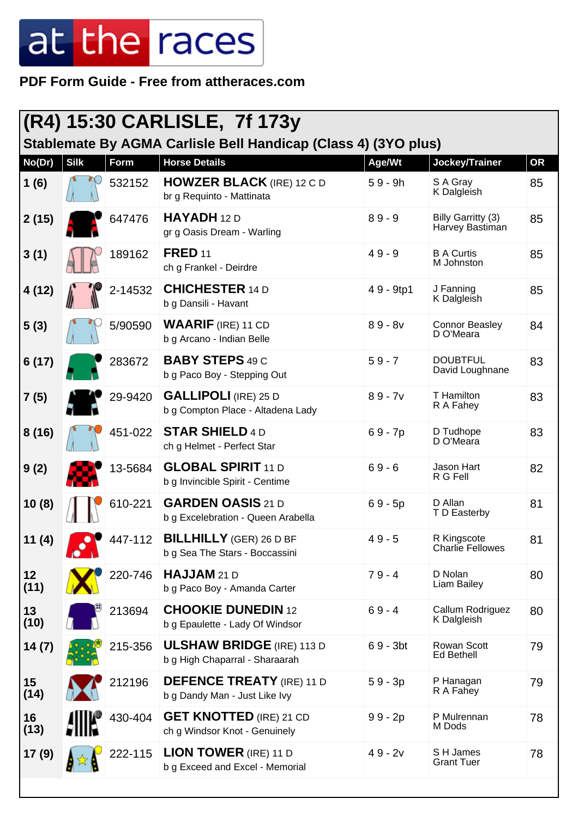**PDF Form Guide - Free from attheraces.com**

| (R4) 15:30 CARLISLE, 7f 173y<br>Stablemate By AGMA Carlisle Bell Handicap (Class 4) (3YO plus) |             |         |                                                                    |            |                                       |    |  |
|------------------------------------------------------------------------------------------------|-------------|---------|--------------------------------------------------------------------|------------|---------------------------------------|----|--|
| No(Dr)                                                                                         | <b>Silk</b> | Form    | <b>Horse Details</b>                                               | Age/Wt     | Jockey/Trainer                        | OR |  |
| 1(6)                                                                                           |             | 532152  | <b>HOWZER BLACK</b> (IRE) 12 C D<br>br g Requinto - Mattinata      | $59 - 9h$  | S A Gray<br>K Dalgleish               | 85 |  |
| 2(15)                                                                                          |             | 647476  | HAYADH 12 D<br>gr g Oasis Dream - Warling                          | $89 - 9$   | Billy Garritty (3)<br>Harvey Bastiman | 85 |  |
| 3(1)                                                                                           |             | 189162  | <b>FRED 11</b><br>ch g Frankel - Deirdre                           | $49 - 9$   | <b>B A Curtis</b><br>M Johnston       | 85 |  |
| 4(12)                                                                                          |             | 2-14532 | <b>CHICHESTER 14 D</b><br>b g Dansili - Havant                     | 49 - 9tp1  | J Fanning<br>K Dalgleish              | 85 |  |
| 5(3)                                                                                           |             | 5/90590 | <b>WAARIF (IRE) 11 CD</b><br>b g Arcano - Indian Belle             | $89 - 8v$  | <b>Connor Beasley</b><br>D O'Meara    | 84 |  |
| 6(17)                                                                                          |             | 283672  | <b>BABY STEPS 49 C</b><br>b g Paco Boy - Stepping Out              | $59 - 7$   | <b>DOUBTFUL</b><br>David Loughnane    | 83 |  |
| 7(5)                                                                                           |             | 29-9420 | <b>GALLIPOLI</b> (IRE) 25 D<br>b g Compton Place - Altadena Lady   | $89 - 7v$  | T Hamilton<br>R A Fahey               | 83 |  |
| 8(16)                                                                                          |             | 451-022 | <b>STAR SHIELD 4 D</b><br>ch g Helmet - Perfect Star               | $69 - 7p$  | D Tudhope<br>D O'Meara                | 83 |  |
| 9(2)                                                                                           |             | 13-5684 | <b>GLOBAL SPIRIT 11 D</b><br>b g Invincible Spirit - Centime       | $69 - 6$   | Jason Hart<br>R G Fell                | 82 |  |
| 10(8)                                                                                          |             | 610-221 | <b>GARDEN OASIS 21 D</b><br>b g Excelebration - Queen Arabella     | $69 - 5p$  | D Allan<br>T D Easterby               | 81 |  |
| 11 (4)                                                                                         |             | 447-112 | <b>BILLHILLY</b> (GER) 26 D BF<br>b g Sea The Stars - Boccassini   | $49 - 5$   | R Kingscote<br>Charlie Fellowes       | 81 |  |
| 12<br>(11)                                                                                     |             | 220-746 | HAJJAM 21 D<br>b g Paco Boy - Amanda Carter                        | $79 - 4$   | D Nolan<br><b>Liam Bailey</b>         | 80 |  |
| 13<br>(10)                                                                                     |             | 213694  | <b>CHOOKIE DUNEDIN 12</b><br>b g Epaulette - Lady Of Windsor       | $69 - 4$   | Callum Rodriguez<br>K Dalgleish       | 80 |  |
| 14(7)                                                                                          |             | 215-356 | <b>ULSHAW BRIDGE</b> (IRE) 113 D<br>b g High Chaparral - Sharaarah | $69 - 3bt$ | Rowan Scott<br><b>Ed Bethell</b>      | 79 |  |
| 15<br>(14)                                                                                     |             | 212196  | <b>DEFENCE TREATY (IRE) 11 D</b><br>b g Dandy Man - Just Like Ivy  | $59 - 3p$  | P Hanagan<br>R A Fahey                | 79 |  |
| 16<br>(13)                                                                                     |             | 430-404 | <b>GET KNOTTED</b> (IRE) 21 CD<br>ch g Windsor Knot - Genuinely    | $99 - 2p$  | P Mulrennan<br>M Dods                 | 78 |  |
| 17 (9)                                                                                         |             | 222-115 | <b>LION TOWER</b> (IRE) 11 D<br>b g Exceed and Excel - Memorial    | $49 - 2v$  | S H James<br><b>Grant Tuer</b>        | 78 |  |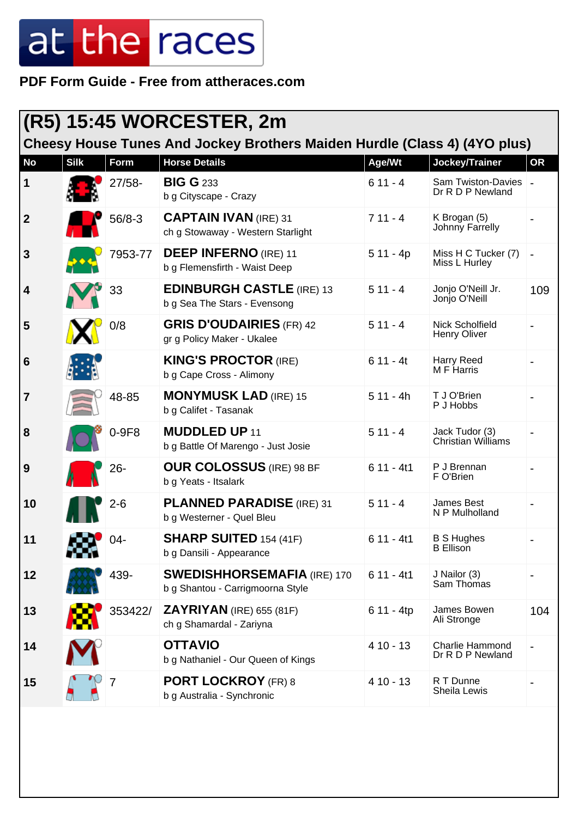**PDF Form Guide - Free from attheraces.com**

| (R5) 15:45 WORCESTER, 2m                                                  |             |            |                                                                        |             |                                            |           |  |
|---------------------------------------------------------------------------|-------------|------------|------------------------------------------------------------------------|-------------|--------------------------------------------|-----------|--|
| Cheesy House Tunes And Jockey Brothers Maiden Hurdle (Class 4) (4YO plus) |             |            |                                                                        |             |                                            |           |  |
| <b>No</b>                                                                 | <b>Silk</b> | Form       | <b>Horse Details</b>                                                   | Age/Wt      | Jockey/Trainer                             | <b>OR</b> |  |
| $\mathbf 1$                                                               |             | $27/58 -$  | <b>BIG G 233</b><br>b g Cityscape - Crazy                              | $611 - 4$   | Sam Twiston-Davies   _<br>Dr R D P Newland |           |  |
| $\boldsymbol{2}$                                                          |             | $56/8 - 3$ | <b>CAPTAIN IVAN</b> (IRE) 31<br>ch g Stowaway - Western Starlight      | $711 - 4$   | K Brogan (5)<br>Johnny Farrelly            |           |  |
| $\mathbf{3}$                                                              |             | 7953-77    | <b>DEEP INFERNO (IRE) 11</b><br>b g Flemensfirth - Waist Deep          | $511 - 4p$  | Miss H C Tucker (7)<br>Miss L Hurley       |           |  |
| 4                                                                         |             | 33         | <b>EDINBURGH CASTLE (IRE) 13</b><br>b g Sea The Stars - Evensong       | $511 - 4$   | Jonjo O'Neill Jr.<br>Jonjo O'Neill         | 109       |  |
| 5                                                                         |             | 0/8        | <b>GRIS D'OUDAIRIES (FR) 42</b><br>gr g Policy Maker - Ukalee          | $511 - 4$   | Nick Scholfield<br><b>Henry Oliver</b>     |           |  |
| 6                                                                         |             |            | <b>KING'S PROCTOR (IRE)</b><br>b g Cape Cross - Alimony                | $611 - 4t$  | <b>Harry Reed</b><br>M F Harris            |           |  |
| $\overline{\mathbf{7}}$                                                   |             | 48-85      | <b>MONYMUSK LAD (IRE) 15</b><br>b g Califet - Tasanak                  | $511 - 4h$  | T J O'Brien<br>P J Hobbs                   |           |  |
| 8                                                                         |             | 0-9F8      | <b>MUDDLED UP 11</b><br>b g Battle Of Marengo - Just Josie             | $511 - 4$   | Jack Tudor (3)<br>Christian Williams       |           |  |
| 9                                                                         |             | $26 -$     | <b>OUR COLOSSUS</b> (IRE) 98 BF<br>b g Yeats - Itsalark                | $611 - 4t1$ | P J Brennan<br>F O'Brien                   |           |  |
| 10                                                                        |             | 2-6        | <b>PLANNED PARADISE (IRE) 31</b><br>b g Westerner - Quel Bleu          | $511 - 4$   | James Best<br>N P Mulholland               |           |  |
| 11                                                                        | محالف       | 04-        | <b>SHARP SUITED 154 (41F)</b><br>b g Dansili - Appearance              | $611 - 4t1$ | <b>B S Hughes</b><br><b>B</b> Ellison      |           |  |
| 12                                                                        |             | 439-       | <b>SWEDISHHORSEMAFIA (IRE) 170</b><br>b g Shantou - Carrigmoorna Style | $611 - 4t1$ | J Nailor (3)<br>Sam Thomas                 |           |  |
| 13                                                                        |             | 353422/    | <b>ZAYRIYAN</b> (IRE) 655 (81F)<br>ch g Shamardal - Zariyna            | $611 - 4tp$ | James Bowen<br>Ali Stronge                 | 104       |  |
| 14                                                                        |             |            | <b>OTTAVIO</b><br>b g Nathaniel - Our Queen of Kings                   | $410 - 13$  | <b>Charlie Hammond</b><br>Dr R D P Newland |           |  |
| 15                                                                        |             | 7          | <b>PORT LOCKROY</b> (FR) 8<br>b g Australia - Synchronic               | $410 - 13$  | R T Dunne<br>Sheila Lewis                  |           |  |
|                                                                           |             |            |                                                                        |             |                                            |           |  |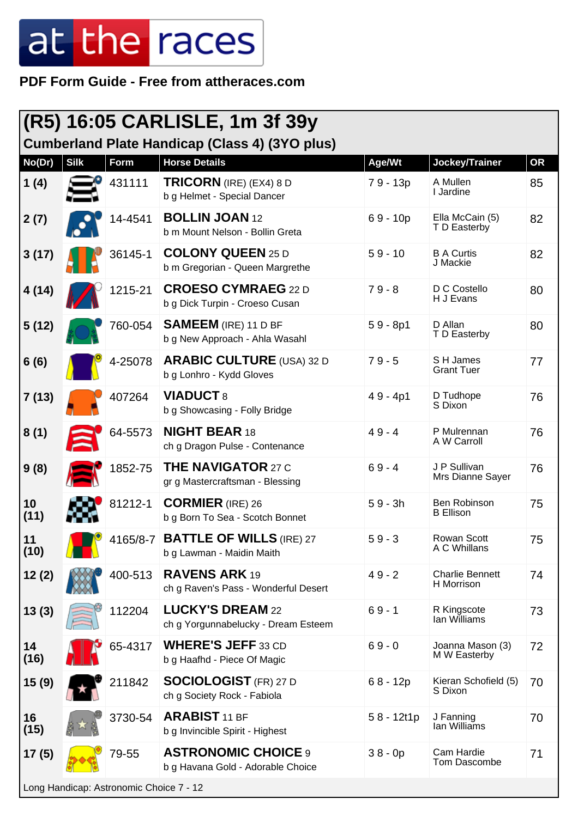**PDF Form Guide - Free from attheraces.com**

| (R5) 16:05 CARLISLE, 1m 3f 39y                        |             |             |                                                                       |              |                                      |           |  |
|-------------------------------------------------------|-------------|-------------|-----------------------------------------------------------------------|--------------|--------------------------------------|-----------|--|
| <b>Cumberland Plate Handicap (Class 4) (3YO plus)</b> |             |             |                                                                       |              |                                      |           |  |
| No(Dr)                                                | <b>Silk</b> | <b>Form</b> | <b>Horse Details</b>                                                  | Age/Wt       | Jockey/Trainer                       | <b>OR</b> |  |
| 1(4)                                                  |             | 431111      | <b>TRICORN</b> (IRE) (EX4) 8 D<br>b g Helmet - Special Dancer         | 79 - 13p     | A Mullen<br>I Jardine                | 85        |  |
| 2(7)                                                  |             | 14-4541     | <b>BOLLIN JOAN 12</b><br>b m Mount Nelson - Bollin Greta              | $69 - 10p$   | Ella McCain (5)<br>T D Easterby      | 82        |  |
| 3(17)                                                 |             | 36145-1     | <b>COLONY QUEEN 25 D</b><br>b m Gregorian - Queen Margrethe           | $59 - 10$    | <b>B A Curtis</b><br>J Mackie        | 82        |  |
| 4 (14)                                                |             | 1215-21     | <b>CROESO CYMRAEG 22 D</b><br>b g Dick Turpin - Croeso Cusan          | $79 - 8$     | D C Costello<br>H J Evans            | 80        |  |
| 5(12)                                                 |             | 760-054     | <b>SAMEEM (IRE) 11 D BF</b><br>b g New Approach - Ahla Wasahl         | $59 - 8p1$   | D Allan<br>T D Easterby              | 80        |  |
| 6(6)                                                  |             | 4-25078     | <b>ARABIC CULTURE</b> (USA) 32 D<br>b g Lonhro - Kydd Gloves          | $79 - 5$     | S H James<br><b>Grant Tuer</b>       | 77        |  |
| 7(13)                                                 |             | 407264      | <b>VIADUCT 8</b><br>b g Showcasing - Folly Bridge                     | $49 - 4p1$   | D Tudhope<br>S Dixon                 | 76        |  |
| 8(1)                                                  |             | 64-5573     | <b>NIGHT BEAR 18</b><br>ch g Dragon Pulse - Contenance                | $49 - 4$     | P Mulrennan<br>A W Carroll           | 76        |  |
| 9(8)                                                  |             | 1852-75     | <b>THE NAVIGATOR 27 C</b><br>gr g Mastercraftsman - Blessing          | $69 - 4$     | J P Sullivan<br>Mrs Dianne Sayer     | 76        |  |
| 10<br>(11)                                            |             | 81212-1     | <b>CORMIER</b> (IRE) 26<br>b g Born To Sea - Scotch Bonnet            | $59 - 3h$    | Ben Robinson<br><b>B</b> Ellison     | 75        |  |
| 11<br>(10)                                            |             |             | 4165/8-7 <b>BATTLE OF WILLS</b> (IRE) 27<br>b g Lawman - Maidin Maith | $59 - 3$     | Rowan Scott<br>A C Whillans          | 75        |  |
| 12(2)                                                 |             | 400-513     | <b>RAVENS ARK 19</b><br>ch g Raven's Pass - Wonderful Desert          | $49 - 2$     | <b>Charlie Bennett</b><br>H Morrison | 74        |  |
| 13(3)                                                 |             | 112204      | <b>LUCKY'S DREAM 22</b><br>ch g Yorgunnabelucky - Dream Esteem        | $69 - 1$     | R Kingscote<br>lan Williams          | 73        |  |
| 14<br>(16)                                            |             | 65-4317     | <b>WHERE'S JEFF 33 CD</b><br>b g Haafhd - Piece Of Magic              | $69 - 0$     | Joanna Mason (3)<br>M W Easterby     | 72        |  |
| 15(9)                                                 |             | 211842      | <b>SOCIOLOGIST</b> (FR) 27 D<br>ch g Society Rock - Fabiola           | $68 - 12p$   | Kieran Schofield (5)<br>S Dixon      | 70        |  |
| 16<br>(15)                                            |             | 3730-54     | <b>ARABIST 11 BF</b><br>b g Invincible Spirit - Highest               | $58 - 12t1p$ | J Fanning<br>lan Williams            | 70        |  |
| 17(5)                                                 |             | 79-55       | <b>ASTRONOMIC CHOICE 9</b><br>b g Havana Gold - Adorable Choice       | $38 - 0p$    | Cam Hardie<br>Tom Dascombe           | 71        |  |
| Long Handicap: Astronomic Choice 7 - 12               |             |             |                                                                       |              |                                      |           |  |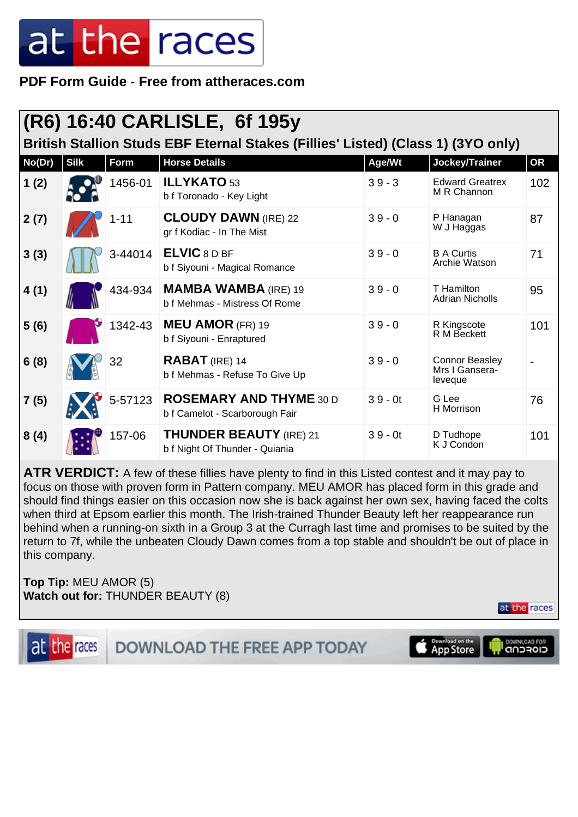**PDF Form Guide - Free from attheraces.com**

| (R6) 16:40 CARLISLE, 6f 195y<br>British Stallion Studs EBF Eternal Stakes (Fillies' Listed) (Class 1) (3YO only) |             |          |                                                                  |           |                                                    |           |  |
|------------------------------------------------------------------------------------------------------------------|-------------|----------|------------------------------------------------------------------|-----------|----------------------------------------------------|-----------|--|
| No(Dr)                                                                                                           | <b>Silk</b> | Form     | <b>Horse Details</b>                                             | Age/Wt    | Jockey/Trainer                                     | <b>OR</b> |  |
| 1(2)                                                                                                             |             | 1456-01  | <b>ILLYKATO 53</b><br>b f Toronado - Key Light                   | $39 - 3$  | <b>Edward Greatrex</b><br>M R Channon              | 102       |  |
| 2(7)                                                                                                             |             | $1 - 11$ | <b>CLOUDY DAWN (IRE) 22</b><br>gr f Kodiac - In The Mist         | $39 - 0$  | P Hanagan<br>W J Haggas                            | 87        |  |
| 3(3)                                                                                                             |             | 3-44014  | <b>ELVIC 8 D BF</b><br>b f Siyouni - Magical Romance             | $39 - 0$  | <b>B A Curtis</b><br>Archie Watson                 | 71        |  |
| 4(1)                                                                                                             |             | 434-934  | <b>MAMBA WAMBA (IRE) 19</b><br>b f Mehmas - Mistress Of Rome     | $39 - 0$  | T Hamilton<br><b>Adrian Nicholls</b>               | 95        |  |
| 5(6)                                                                                                             |             | 1342-43  | <b>MEU AMOR (FR) 19</b><br>b f Siyouni - Enraptured              | $39 - 0$  | R Kingscote<br>R M Beckett                         | 101       |  |
| 6(8)                                                                                                             |             | 32       | RABAT (IRE) 14<br>b f Mehmas - Refuse To Give Up                 | $39 - 0$  | <b>Connor Beasley</b><br>Mrs I Gansera-<br>leveque |           |  |
| 7(5)                                                                                                             |             | 5-57123  | <b>ROSEMARY AND THYME 30 D</b><br>b f Camelot - Scarborough Fair | $39 - 0t$ | G Lee<br>H Morrison                                | 76        |  |
| 8(4)                                                                                                             |             | 157-06   | <b>THUNDER BEAUTY (IRE) 21</b><br>b f Night Of Thunder - Quiania | $39 - 0t$ | D Tudhope<br>K J Condon                            | 101       |  |

ATR VERDICT: A few of these fillies have plenty to find in this Listed contest and it may pay to focus on those with proven form in Pattern company. MEU AMOR has placed form in this grade and should find things easier on this occasion now she is back against her own sex, having faced the colts when third at Epsom earlier this month. The Irish-trained Thunder Beauty left her reappearance run behind when a running-on sixth in a Group 3 at the Curragh last time and promises to be suited by the return to 7f, while the unbeaten Cloudy Dawn comes from a top stable and shouldn't be out of place in this company.

**Top Tip:** MEU AMOR (5) **Watch out for:** THUNDER BEAUTY (8)

at the races